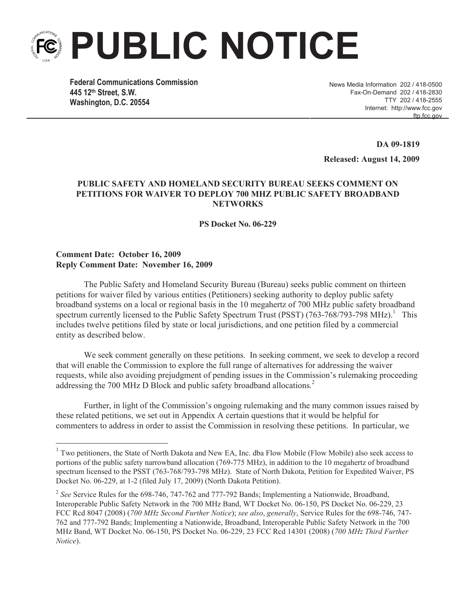# **PUBLIC NOTICE**

**Federal Communications Commission 445 12th Street, S.W. Washington, D.C. 20554**

News Media Information 202 / 418-0500 Fax-On-Demand 202 / 418-2830 TTY 202 / 418-2555 Internet: http://www.fcc.gov ftp.fcc.gov

**DA 09-1819** 

**Released: August 14, 2009**

# **PUBLIC SAFETY AND HOMELAND SECURITY BUREAU SEEKS COMMENT ON PETITIONS FOR WAIVER TO DEPLOY 700 MHZ PUBLIC SAFETY BROADBAND NETWORKS**

**PS Docket No. 06-229**

### **Comment Date: October 16, 2009 Reply Comment Date: November 16, 2009**

The Public Safety and Homeland Security Bureau (Bureau) seeks public comment on thirteen petitions for waiver filed by various entities (Petitioners) seeking authority to deploy public safety broadband systems on a local or regional basis in the 10 megahertz of 700 MHz public safety broadband spectrum currently licensed to the Public Safety Spectrum Trust (PSST) (763-768/793-798 MHz).<sup>1</sup> This includes twelve petitions filed by state or local jurisdictions, and one petition filed by a commercial entity as described below.

We seek comment generally on these petitions. In seeking comment, we seek to develop a record that will enable the Commission to explore the full range of alternatives for addressing the waiver requests, while also avoiding prejudgment of pending issues in the Commission's rulemaking proceeding addressing the 700 MHz D Block and public safety broadband allocations*.* 2

Further, in light of the Commission's ongoing rulemaking and the many common issues raised by these related petitions, we set out in Appendix A certain questions that it would be helpful for commenters to address in order to assist the Commission in resolving these petitions. In particular, we

<sup>&</sup>lt;sup>1</sup> Two petitioners, the State of North Dakota and New EA, Inc. dba Flow Mobile (Flow Mobile) also seek access to portions of the public safety narrowband allocation (769-775 MHz), in addition to the 10 megahertz of broadband spectrum licensed to the PSST (763-768/793-798 MHz). State of North Dakota, Petition for Expedited Waiver, PS Docket No. 06-229, at 1-2 (filed July 17, 2009) (North Dakota Petition).

<sup>&</sup>lt;sup>2</sup> See Service Rules for the 698-746, 747-762 and 777-792 Bands; Implementing a Nationwide, Broadband, Interoperable Public Safety Network in the 700 MHz Band, WT Docket No. 06-150, PS Docket No. 06-229, 23 FCC Rcd 8047 (2008) (*700 MHz Second Further Notice*); *see also*, *generally*, Service Rules for the 698-746, 747- 762 and 777-792 Bands; Implementing a Nationwide, Broadband, Interoperable Public Safety Network in the 700 MHz Band, WT Docket No. 06-150, PS Docket No. 06-229, 23 FCC Rcd 14301 (2008) (*700 MHz Third Further Notice*).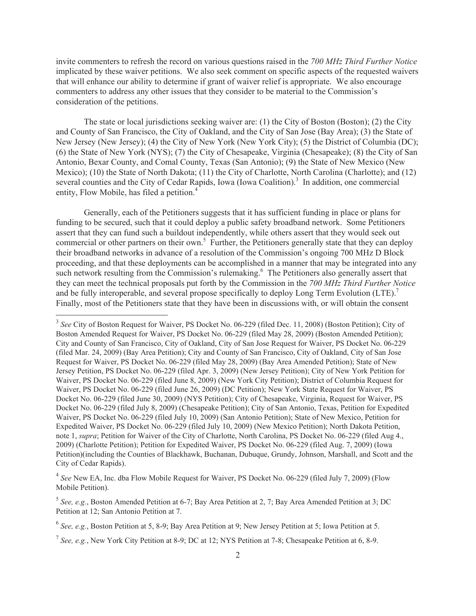invite commenters to refresh the record on various questions raised in the *700 MHz Third Further Notice* implicated by these waiver petitions. We also seek comment on specific aspects of the requested waivers that will enhance our ability to determine if grant of waiver relief is appropriate. We also encourage commenters to address any other issues that they consider to be material to the Commission's consideration of the petitions.

The state or local jurisdictions seeking waiver are: (1) the City of Boston (Boston); (2) the City and County of San Francisco, the City of Oakland, and the City of San Jose (Bay Area); (3) the State of New Jersey (New Jersey); (4) the City of New York (New York City); (5) the District of Columbia (DC); (6) the State of New York (NYS); (7) the City of Chesapeake, Virginia (Chesapeake); (8) the City of San Antonio, Bexar County, and Comal County, Texas (San Antonio); (9) the State of New Mexico (New Mexico); (10) the State of North Dakota; (11) the City of Charlotte, North Carolina (Charlotte); and (12) several counties and the City of Cedar Rapids, Iowa (Iowa Coalition).<sup>3</sup> In addition, one commercial entity, Flow Mobile, has filed a petition.<sup>4</sup>

Generally, each of the Petitioners suggests that it has sufficient funding in place or plans for funding to be secured, such that it could deploy a public safety broadband network. Some Petitioners assert that they can fund such a buildout independently, while others assert that they would seek out commercial or other partners on their own.<sup>5</sup> Further, the Petitioners generally state that they can deploy their broadband networks in advance of a resolution of the Commission's ongoing 700 MHz D Block proceeding, and that these deployments can be accomplished in a manner that may be integrated into any such network resulting from the Commission's rulemaking.<sup>6</sup> The Petitioners also generally assert that they can meet the technical proposals put forth by the Commission in the *700 MHz Third Further Notice* and be fully interoperable, and several propose specifically to deploy Long Term Evolution  $(LTE)$ .<sup>7</sup> Finally, most of the Petitioners state that they have been in discussions with, or will obtain the consent

<sup>&</sup>lt;sup>3</sup> See City of Boston Request for Waiver, PS Docket No. 06-229 (filed Dec. 11, 2008) (Boston Petition); City of Boston Amended Request for Waiver, PS Docket No. 06-229 (filed May 28, 2009) (Boston Amended Petition); City and County of San Francisco, City of Oakland, City of San Jose Request for Waiver, PS Docket No. 06-229 (filed Mar. 24, 2009) (Bay Area Petition); City and County of San Francisco, City of Oakland, City of San Jose Request for Waiver, PS Docket No. 06-229 (filed May 28, 2009) (Bay Area Amended Petition); State of New Jersey Petition, PS Docket No. 06-229 (filed Apr. 3, 2009) (New Jersey Petition); City of New York Petition for Waiver, PS Docket No. 06-229 (filed June 8, 2009) (New York City Petition); District of Columbia Request for Waiver, PS Docket No. 06-229 (filed June 26, 2009) (DC Petition); New York State Request for Waiver, PS Docket No. 06-229 (filed June 30, 2009) (NYS Petition); City of Chesapeake, Virginia, Request for Waiver, PS Docket No. 06-229 (filed July 8, 2009) (Chesapeake Petition); City of San Antonio, Texas, Petition for Expedited Waiver, PS Docket No. 06-229 (filed July 10, 2009) (San Antonio Petition); State of New Mexico, Petition for Expedited Waiver, PS Docket No. 06-229 (filed July 10, 2009) (New Mexico Petition); North Dakota Petition, note 1, *supra*; Petition for Waiver of the City of Charlotte, North Carolina, PS Docket No. 06-229 (filed Aug 4., 2009) (Charlotte Petition); Petition for Expedited Waiver, PS Docket No. 06-229 (filed Aug. 7, 2009) (Iowa Petition)(including the Counties of Blackhawk, Buchanan, Dubuque, Grundy, Johnson, Marshall, and Scott and the City of Cedar Rapids).

<sup>&</sup>lt;sup>4</sup> See New EA, Inc. dba Flow Mobile Request for Waiver, PS Docket No. 06-229 (filed July 7, 2009) (Flow Mobile Petition).

<sup>5</sup> *See, e.g.*, Boston Amended Petition at 6-7; Bay Area Petition at 2, 7; Bay Area Amended Petition at 3; DC Petition at 12; San Antonio Petition at 7.

<sup>&</sup>lt;sup>6</sup> See, e.g., Boston Petition at 5, 8-9; Bay Area Petition at 9; New Jersey Petition at 5; Iowa Petition at 5.

<sup>&</sup>lt;sup>7</sup> See, e.g., New York City Petition at 8-9; DC at 12; NYS Petition at 7-8; Chesapeake Petition at 6, 8-9.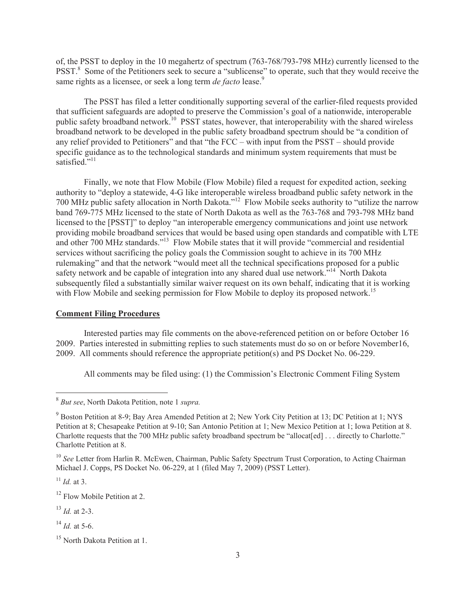of, the PSST to deploy in the 10 megahertz of spectrum (763-768/793-798 MHz) currently licensed to the PSST.<sup>8</sup> Some of the Petitioners seek to secure a "sublicense" to operate, such that they would receive the same rights as a licensee, or seek a long term *de facto* lease.<sup>9</sup>

The PSST has filed a letter conditionally supporting several of the earlier-filed requests provided that sufficient safeguards are adopted to preserve the Commission's goal of a nationwide, interoperable public safety broadband network.<sup>10</sup> PSST states, however, that interoperability with the shared wireless broadband network to be developed in the public safety broadband spectrum should be "a condition of any relief provided to Petitioners" and that "the FCC – with input from the PSST – should provide specific guidance as to the technological standards and minimum system requirements that must be satisfied."<sup>11</sup>

Finally, we note that Flow Mobile (Flow Mobile) filed a request for expedited action, seeking authority to "deploy a statewide, 4-G like interoperable wireless broadband public safety network in the 700 MHz public safety allocation in North Dakota."<sup>12</sup> Flow Mobile seeks authority to "utilize the narrow band 769-775 MHz licensed to the state of North Dakota as well as the 763-768 and 793-798 MHz band licensed to the [PSST]" to deploy "an interoperable emergency communications and joint use network providing mobile broadband services that would be based using open standards and compatible with LTE and other 700 MHz standards."<sup>13</sup> Flow Mobile states that it will provide "commercial and residential" services without sacrificing the policy goals the Commission sought to achieve in its 700 MHz rulemaking" and that the network "would meet all the technical specifications proposed for a public safety network and be capable of integration into any shared dual use network.<sup>"14</sup> North Dakota subsequently filed a substantially similar waiver request on its own behalf, indicating that it is working with Flow Mobile and seeking permission for Flow Mobile to deploy its proposed network.<sup>15</sup>

## **Comment Filing Procedures**

Interested parties may file comments on the above-referenced petition on or before October 16 2009. Parties interested in submitting replies to such statements must do so on or before November16, 2009. All comments should reference the appropriate petition(s) and PS Docket No. 06-229.

All comments may be filed using: (1) the Commission's Electronic Comment Filing System

<sup>13</sup> *Id.* at 2-3.

<sup>8</sup> *But see*, North Dakota Petition, note 1 *supra.*

<sup>&</sup>lt;sup>9</sup> Boston Petition at 8-9; Bay Area Amended Petition at 2; New York City Petition at 13; DC Petition at 1; NYS Petition at 8; Chesapeake Petition at 9-10; San Antonio Petition at 1; New Mexico Petition at 1; Iowa Petition at 8. Charlotte requests that the 700 MHz public safety broadband spectrum be "allocat[ed] . . . directly to Charlotte." Charlotte Petition at 8.

<sup>&</sup>lt;sup>10</sup> See Letter from Harlin R. McEwen, Chairman, Public Safety Spectrum Trust Corporation, to Acting Chairman Michael J. Copps, PS Docket No. 06-229, at 1 (filed May 7, 2009) (PSST Letter).

<sup>11</sup> *Id.* at 3.

<sup>&</sup>lt;sup>12</sup> Flow Mobile Petition at 2.

 $^{14}$  *Id.* at 5-6.

<sup>&</sup>lt;sup>15</sup> North Dakota Petition at 1.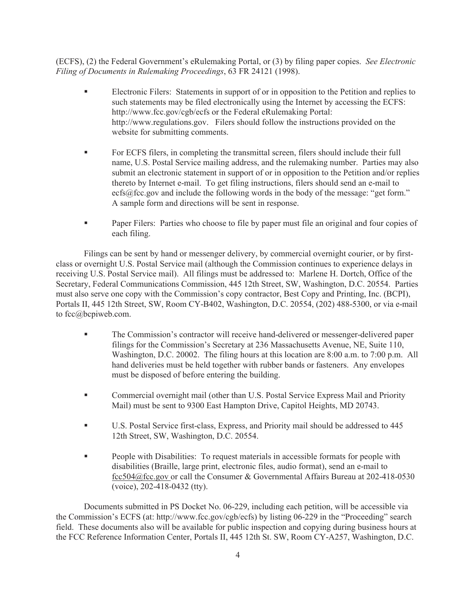(ECFS), (2) the Federal Government's eRulemaking Portal, or (3) by filing paper copies. *See Electronic Filing of Documents in Rulemaking Proceedings*, 63 FR 24121 (1998).

- Electronic Filers: Statements in support of or in opposition to the Petition and replies to such statements may be filed electronically using the Internet by accessing the ECFS: http://www.fcc.gov/cgb/ecfs or the Federal eRulemaking Portal: http://www.regulations.gov. Filers should follow the instructions provided on the website for submitting comments.
- For ECFS filers, in completing the transmittal screen, filers should include their full name, U.S. Postal Service mailing address, and the rulemaking number. Parties may also submit an electronic statement in support of or in opposition to the Petition and/or replies thereto by Internet e-mail. To get filing instructions, filers should send an e-mail to ecfs@fcc.gov and include the following words in the body of the message: "get form." A sample form and directions will be sent in response.
- Paper Filers: Parties who choose to file by paper must file an original and four copies of each filing.

Filings can be sent by hand or messenger delivery, by commercial overnight courier, or by firstclass or overnight U.S. Postal Service mail (although the Commission continues to experience delays in receiving U.S. Postal Service mail). All filings must be addressed to: Marlene H. Dortch, Office of the Secretary, Federal Communications Commission, 445 12th Street, SW, Washington, D.C. 20554. Parties must also serve one copy with the Commission's copy contractor, Best Copy and Printing, Inc. (BCPI), Portals II, 445 12th Street, SW, Room CY-B402, Washington, D.C. 20554, (202) 488-5300, or via e-mail to fcc@bcpiweb.com.

- § The Commission's contractor will receive hand-delivered or messenger-delivered paper filings for the Commission's Secretary at 236 Massachusetts Avenue, NE, Suite 110, Washington, D.C. 20002. The filing hours at this location are 8:00 a.m. to 7:00 p.m. All hand deliveries must be held together with rubber bands or fasteners. Any envelopes must be disposed of before entering the building.
- Commercial overnight mail (other than U.S. Postal Service Express Mail and Priority Mail) must be sent to 9300 East Hampton Drive, Capitol Heights, MD 20743.
- § U.S. Postal Service first-class, Express, and Priority mail should be addressed to 445 12th Street, SW, Washington, D.C. 20554.
- People with Disabilities: To request materials in accessible formats for people with disabilities (Braille, large print, electronic files, audio format), send an e-mail to fcc504@fcc.gov or call the Consumer & Governmental Affairs Bureau at 202-418-0530 (voice), 202-418-0432 (tty).

Documents submitted in PS Docket No. 06-229, including each petition, will be accessible via the Commission's ECFS (at: http://www.fcc.gov/cgb/ecfs) by listing 06-229 in the "Proceeding" search field. These documents also will be available for public inspection and copying during business hours at the FCC Reference Information Center, Portals II, 445 12th St. SW, Room CY-A257, Washington, D.C.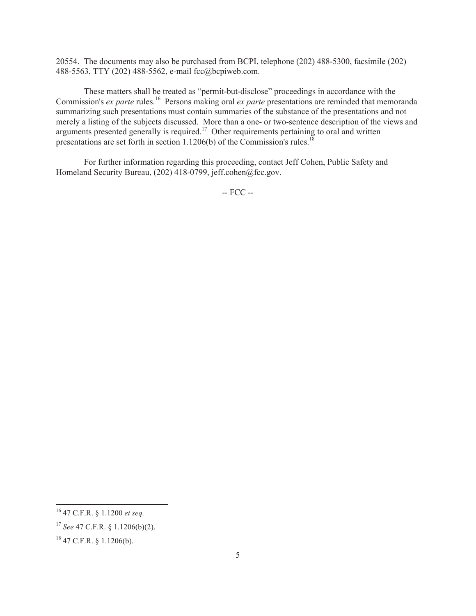20554. The documents may also be purchased from BCPI, telephone (202) 488-5300, facsimile (202) 488-5563, TTY (202) 488-5562, e-mail fcc@bcpiweb.com.

These matters shall be treated as "permit-but-disclose" proceedings in accordance with the Commission's *ex parte* rules.<sup>16</sup> Persons making oral *ex parte* presentations are reminded that memoranda summarizing such presentations must contain summaries of the substance of the presentations and not merely a listing of the subjects discussed. More than a one- or two-sentence description of the views and arguments presented generally is required.<sup>17</sup> Other requirements pertaining to oral and written presentations are set forth in section 1.1206(b) of the Commission's rules.<sup>1</sup>

For further information regarding this proceeding, contact Jeff Cohen, Public Safety and Homeland Security Bureau, (202) 418-0799, jeff.cohen@fcc.gov.

-- FCC --

<sup>16</sup> 47 C.F.R. § 1.1200 *et seq.*

<sup>17</sup> *See* 47 C.F.R. § 1.1206(b)(2).

 $18$  47 C.F.R. § 1.1206(b).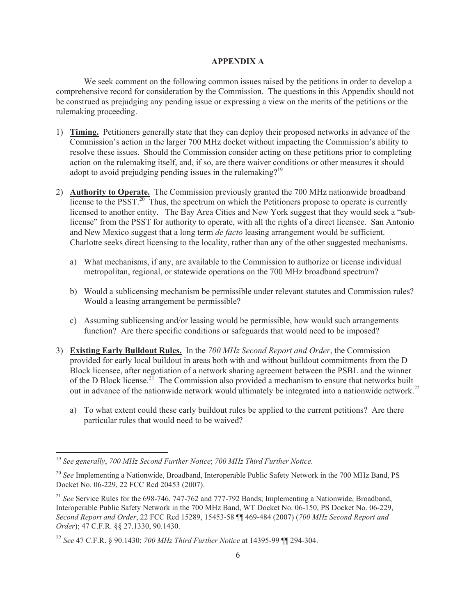### **APPENDIX A**

We seek comment on the following common issues raised by the petitions in order to develop a comprehensive record for consideration by the Commission. The questions in this Appendix should not be construed as prejudging any pending issue or expressing a view on the merits of the petitions or the rulemaking proceeding.

- 1) **Timing.** Petitioners generally state that they can deploy their proposed networks in advance of the Commission's action in the larger 700 MHz docket without impacting the Commission's ability to resolve these issues. Should the Commission consider acting on these petitions prior to completing action on the rulemaking itself, and, if so, are there waiver conditions or other measures it should adopt to avoid prejudging pending issues in the rulemaking?<sup>19</sup>
- 2) **Authority to Operate.** The Commission previously granted the 700 MHz nationwide broadband license to the PSST.<sup>20</sup> Thus, the spectrum on which the Petitioners propose to operate is currently licensed to another entity. The Bay Area Cities and New York suggest that they would seek a "sublicense" from the PSST for authority to operate, with all the rights of a direct licensee. San Antonio and New Mexico suggest that a long term *de facto* leasing arrangement would be sufficient. Charlotte seeks direct licensing to the locality, rather than any of the other suggested mechanisms.
	- a) What mechanisms, if any, are available to the Commission to authorize or license individual metropolitan, regional, or statewide operations on the 700 MHz broadband spectrum?
	- b) Would a sublicensing mechanism be permissible under relevant statutes and Commission rules? Would a leasing arrangement be permissible?
	- c) Assuming sublicensing and/or leasing would be permissible, how would such arrangements function? Are there specific conditions or safeguards that would need to be imposed?
- 3) **Existing Early Buildout Rules.** In the *700 MHz Second Report and Order*, the Commission provided for early local buildout in areas both with and without buildout commitments from the D Block licensee, after negotiation of a network sharing agreement between the PSBL and the winner of the D Block license.<sup>21</sup> The Commission also provided a mechanism to ensure that networks built out in advance of the nationwide network would ultimately be integrated into a nationwide network.<sup>22</sup>
	- a) To what extent could these early buildout rules be applied to the current petitions? Are there particular rules that would need to be waived?

<sup>19</sup> *See generally*, *700 MHz Second Further Notice*; *700 MHz Third Further Notice*.

<sup>&</sup>lt;sup>20</sup> See Implementing a Nationwide, Broadband, Interoperable Public Safety Network in the 700 MHz Band, PS Docket No. 06-229, 22 FCC Rcd 20453 (2007).

<sup>21</sup> *See* Service Rules for the 698-746, 747-762 and 777-792 Bands; Implementing a Nationwide, Broadband, Interoperable Public Safety Network in the 700 MHz Band, WT Docket No. 06-150, PS Docket No. 06-229, *Second Report and Order*, 22 FCC Rcd 15289, 15453-58 ¶¶ 469-484 (2007) (*700 MHz Second Report and Order*); 47 C.F.R. §§ 27.1330, 90.1430.

<sup>22</sup> *See* 47 C.F.R. § 90.1430; *700 MHz Third Further Notice* at 14395-99 ¶¶ 294-304.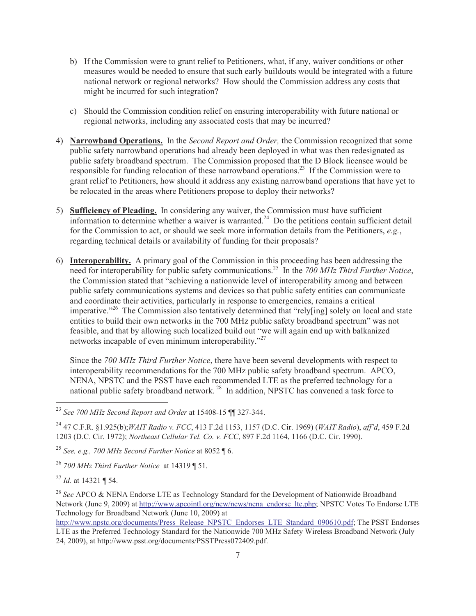- b) If the Commission were to grant relief to Petitioners, what, if any, waiver conditions or other measures would be needed to ensure that such early buildouts would be integrated with a future national network or regional networks? How should the Commission address any costs that might be incurred for such integration?
- c) Should the Commission condition relief on ensuring interoperability with future national or regional networks, including any associated costs that may be incurred?
- 4) **Narrowband Operations.** In the *Second Report and Order,* the Commission recognized that some public safety narrowband operations had already been deployed in what was then redesignated as public safety broadband spectrum. The Commission proposed that the D Block licensee would be responsible for funding relocation of these narrowband operations.<sup>23</sup> If the Commission were to grant relief to Petitioners, how should it address any existing narrowband operations that have yet to be relocated in the areas where Petitioners propose to deploy their networks?
- 5) **Sufficiency of Pleading.** In considering any waiver, the Commission must have sufficient information to determine whether a waiver is warranted.<sup>24</sup> Do the petitions contain sufficient detail for the Commission to act, or should we seek more information details from the Petitioners, *e.g.*, regarding technical details or availability of funding for their proposals?
- 6) **Interoperability.** A primary goal of the Commission in this proceeding has been addressing the need for interoperability for public safety communications.<sup>25</sup> In the *700 MHz Third Further Notice*, the Commission stated that "achieving a nationwide level of interoperability among and between public safety communications systems and devices so that public safety entities can communicate and coordinate their activities, particularly in response to emergencies, remains a critical imperative."<sup>26</sup> The Commission also tentatively determined that "rely[ing] solely on local and state entities to build their own networks in the 700 MHz public safety broadband spectrum" was not feasible, and that by allowing such localized build out "we will again end up with balkanized networks incapable of even minimum interoperability."<sup>27</sup>

Since the *700 MHz Third Further Notice*, there have been several developments with respect to interoperability recommendations for the 700 MHz public safety broadband spectrum. APCO, NENA, NPSTC and the PSST have each recommended LTE as the preferred technology for a national public safety broadband network.<sup>28</sup> In addition, NPSTC has convened a task force to

<sup>23</sup> *See 700 MHz Second Report and Order* at 15408-15 ¶¶ 327-344.

<sup>24</sup> 47 C.F.R. §1.925(b);*WAIT Radio v. FCC*, 413 F.2d 1153, 1157 (D.C. Cir. 1969) (*WAIT Radio*), *aff'd*, 459 F.2d 1203 (D.C. Cir. 1972); *Northeast Cellular Tel. Co. v. FCC*, 897 F.2d 1164, 1166 (D.C. Cir. 1990).

<sup>25</sup> *See, e.g., 700 MHz Second Further Notice* at 8052 ¶ 6.

<sup>26</sup> *700 MHz Third Further Notice* at 14319 ¶ 51.

<sup>27</sup> *Id.* at 14321 ¶ 54.

<sup>&</sup>lt;sup>28</sup> See APCO & NENA Endorse LTE as Technology Standard for the Development of Nationwide Broadband Network (June 9, 2009) at http://www.apcointl.org/new/news/nena\_endorse\_lte.php; NPSTC Votes To Endorse LTE Technology for Broadband Network (June 10, 2009) at

http://www.npstc.org/documents/Press\_Release\_NPSTC\_Endorses\_LTE\_Standard\_090610.pdf; The PSST Endorses LTE as the Preferred Technology Standard for the Nationwide 700 MHz Safety Wireless Broadband Network (July 24, 2009), at http://www.psst.org/documents/PSSTPress072409.pdf.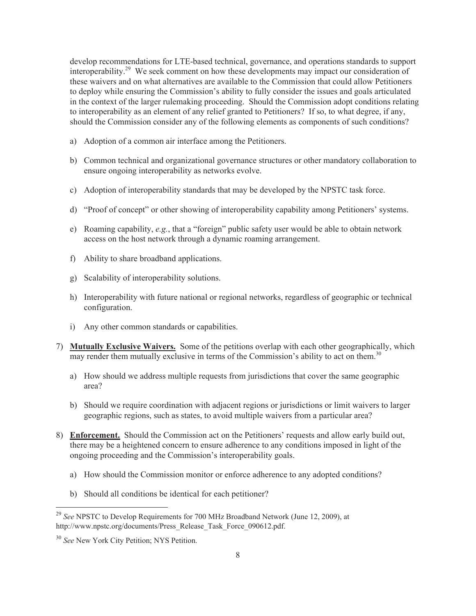develop recommendations for LTE-based technical, governance, and operations standards to support interoperability.<sup>29</sup> We seek comment on how these developments may impact our consideration of these waivers and on what alternatives are available to the Commission that could allow Petitioners to deploy while ensuring the Commission's ability to fully consider the issues and goals articulated in the context of the larger rulemaking proceeding. Should the Commission adopt conditions relating to interoperability as an element of any relief granted to Petitioners? If so, to what degree, if any, should the Commission consider any of the following elements as components of such conditions?

- a) Adoption of a common air interface among the Petitioners.
- b) Common technical and organizational governance structures or other mandatory collaboration to ensure ongoing interoperability as networks evolve.
- c) Adoption of interoperability standards that may be developed by the NPSTC task force.
- d) "Proof of concept" or other showing of interoperability capability among Petitioners' systems.
- e) Roaming capability, *e.g.*, that a "foreign" public safety user would be able to obtain network access on the host network through a dynamic roaming arrangement.
- f) Ability to share broadband applications.
- g) Scalability of interoperability solutions.
- h) Interoperability with future national or regional networks, regardless of geographic or technical configuration.
- i) Any other common standards or capabilities.
- 7) **Mutually Exclusive Waivers.** Some of the petitions overlap with each other geographically, which may render them mutually exclusive in terms of the Commission's ability to act on them.<sup>30</sup>
	- a) How should we address multiple requests from jurisdictions that cover the same geographic area?
	- b) Should we require coordination with adjacent regions or jurisdictions or limit waivers to larger geographic regions, such as states, to avoid multiple waivers from a particular area?
- 8) **Enforcement.** Should the Commission act on the Petitioners' requests and allow early build out, there may be a heightened concern to ensure adherence to any conditions imposed in light of the ongoing proceeding and the Commission's interoperability goals.
	- a) How should the Commission monitor or enforce adherence to any adopted conditions?
	- b) Should all conditions be identical for each petitioner?

<sup>29</sup> *See* NPSTC to Develop Requirements for 700 MHz Broadband Network (June 12, 2009), at http://www.npstc.org/documents/Press\_Release\_Task\_Force\_090612.pdf.

<sup>30</sup> *See* New York City Petition; NYS Petition.